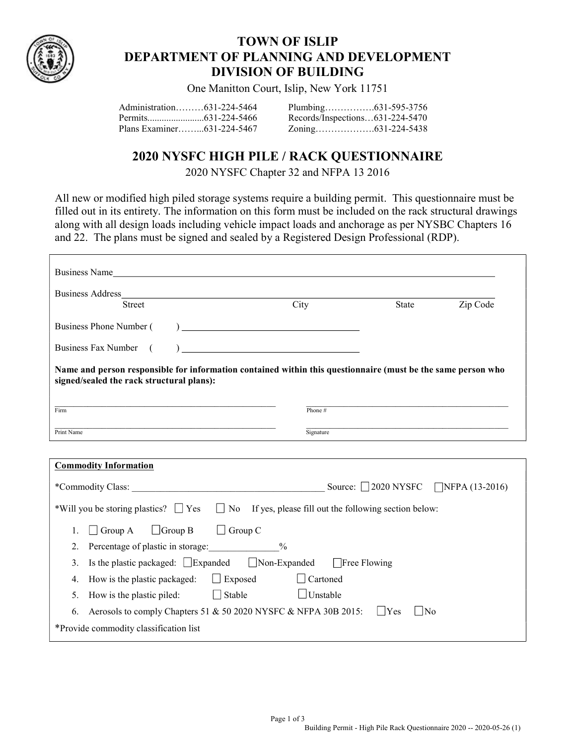

## TOWN OF ISLIP DEPARTMENT OF PLANNING AND DEVELOPMENT DIVISION OF BUILDING

One Manitton Court, Islip, New York 11751

| Administration631-224-5464 |  |                                 |
|----------------------------|--|---------------------------------|
|                            |  | Records/Inspections631-224-5470 |
| Plans Examiner631-224-5467 |  |                                 |

## 2020 NYSFC HIGH PILE / RACK QUESTIONNAIRE

2020 NYSFC Chapter 32 and NFPA 13 2016

All new or modified high piled storage systems require a building permit. This questionnaire must be filled out in its entirety. The information on this form must be included on the rack structural drawings along with all design loads including vehicle impact loads and anchorage as per NYSBC Chapters 16 and 22. The plans must be signed and sealed by a Registered Design Professional (RDP).

| Business Name                                                                                                                                             |                                                                                                                     |                                                                |          |  |
|-----------------------------------------------------------------------------------------------------------------------------------------------------------|---------------------------------------------------------------------------------------------------------------------|----------------------------------------------------------------|----------|--|
| Business Address<br><u> 1980 - Johann Barbara, martxa alemaniar a</u>                                                                                     |                                                                                                                     |                                                                |          |  |
| <b>Street</b>                                                                                                                                             | City                                                                                                                | State                                                          | Zip Code |  |
| Business Phone Number (                                                                                                                                   |                                                                                                                     |                                                                |          |  |
| <b>Business Fax Number</b>                                                                                                                                | <u> 1989 - Johann Barn, mars eta bainar eta baina eta baina eta baina eta baina eta baina eta baina eta baina e</u> |                                                                |          |  |
| Name and person responsible for information contained within this questionnaire (must be the same person who<br>signed/sealed the rack structural plans): |                                                                                                                     |                                                                |          |  |
|                                                                                                                                                           |                                                                                                                     |                                                                |          |  |
| Firm                                                                                                                                                      | Phone #                                                                                                             |                                                                |          |  |
| Print Name                                                                                                                                                | Signature                                                                                                           |                                                                |          |  |
|                                                                                                                                                           |                                                                                                                     |                                                                |          |  |
| <b>Commodity Information</b>                                                                                                                              |                                                                                                                     |                                                                |          |  |
|                                                                                                                                                           |                                                                                                                     |                                                                |          |  |
| *Will you be storing plastics? $\Box$ Yes                                                                                                                 |                                                                                                                     | $\Box$ No If yes, please fill out the following section below: |          |  |
| $\Box$ Group B<br>$\Box$ Group C<br>Group A<br>1.                                                                                                         |                                                                                                                     |                                                                |          |  |
| Percentage of plastic in storage:<br>$\frac{0}{0}$<br>2.                                                                                                  |                                                                                                                     |                                                                |          |  |
| Is the plastic packaged: $\Box$ Expanded $\Box$ Non-Expanded<br>3.                                                                                        |                                                                                                                     | □Free Flowing                                                  |          |  |
| $\Box$ Exposed<br>How is the plastic packaged:<br>4.                                                                                                      | $\Box$ Cartoned                                                                                                     |                                                                |          |  |
| Stable<br>How is the plastic piled:<br>5.                                                                                                                 | $\Box$ Unstable                                                                                                     |                                                                |          |  |
| Aerosols to comply Chapters 51 & 50 2020 NYSFC & NFPA 30B 2015:<br>6.                                                                                     |                                                                                                                     | $ $   Yes<br>   No                                             |          |  |
| *Provide commodity classification list                                                                                                                    |                                                                                                                     |                                                                |          |  |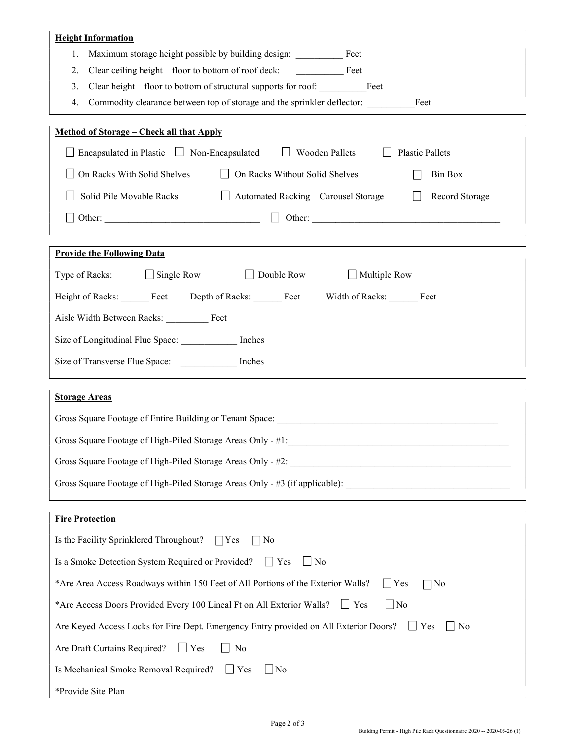| <b>Height Information</b>                                                                                                                                                            |  |  |  |  |
|--------------------------------------------------------------------------------------------------------------------------------------------------------------------------------------|--|--|--|--|
| Maximum storage height possible by building design: Feet<br>1.                                                                                                                       |  |  |  |  |
| Clear ceiling height – floor to bottom of roof deck:<br>2.<br>Feet                                                                                                                   |  |  |  |  |
| Clear height – floor to bottom of structural supports for roof: Feet<br>3.                                                                                                           |  |  |  |  |
| 4.                                                                                                                                                                                   |  |  |  |  |
| <b>Method of Storage - Check all that Apply</b>                                                                                                                                      |  |  |  |  |
| Encapsulated in Plastic $\Box$ Non-Encapsulated $\Box$ Wooden Pallets<br><b>Plastic Pallets</b><br>$\Box$                                                                            |  |  |  |  |
| On Racks With Solid Shelves<br>$\Box$ On Racks Without Solid Shelves<br><b>Bin Box</b>                                                                                               |  |  |  |  |
| Solid Pile Movable Racks<br>$\Box$ Automated Racking – Carousel Storage<br>Record Storage                                                                                            |  |  |  |  |
|                                                                                                                                                                                      |  |  |  |  |
| <b>Provide the Following Data</b>                                                                                                                                                    |  |  |  |  |
| Type of Racks: $\Box$ Single Row<br>Double Row<br>Multiple Row<br>$\perp$<br>$\Box$                                                                                                  |  |  |  |  |
| Height of Racks: Feet Depth of Racks: Feet Width of Racks: Feet                                                                                                                      |  |  |  |  |
| Aisle Width Between Racks: Feet                                                                                                                                                      |  |  |  |  |
| Size of Longitudinal Flue Space: ____________ Inches                                                                                                                                 |  |  |  |  |
| Size of Transverse Flue Space: Inches                                                                                                                                                |  |  |  |  |
| <b>Storage Areas</b>                                                                                                                                                                 |  |  |  |  |
| Gross Square Footage of Entire Building or Tenant Space:                                                                                                                             |  |  |  |  |
| Gross Square Footage of High-Piled Storage Areas Only - #1:<br><u> 1989 - Johann John Stoff, deutscher Stoffen und der Stoffen und der Stoffen und der Stoffen und der Stoffen u</u> |  |  |  |  |
|                                                                                                                                                                                      |  |  |  |  |
| Gross Square Footage of High-Piled Storage Areas Only - #3 (if applicable):                                                                                                          |  |  |  |  |
| <b>Fire Protection</b>                                                                                                                                                               |  |  |  |  |
| Is the Facility Sprinklered Throughout?<br>$ $ Yes<br>    No                                                                                                                         |  |  |  |  |
| Is a Smoke Detection System Required or Provided?<br>$\Box$ Yes<br>$\Box$ No                                                                                                         |  |  |  |  |
| *Are Area Access Roadways within 150 Feet of All Portions of the Exterior Walls?<br>$ $ Yes<br>$\neg$ No                                                                             |  |  |  |  |
| *Are Access Doors Provided Every 100 Lineal Ft on All Exterior Walls?<br>$\Box$ Yes<br>$\Box$ No                                                                                     |  |  |  |  |
| Are Keyed Access Locks for Fire Dept. Emergency Entry provided on All Exterior Doors? $\Box$ Yes<br>$\blacksquare$ No                                                                |  |  |  |  |
| Are Draft Curtains Required?<br>$\Box$ Yes<br>No                                                                                                                                     |  |  |  |  |
| Is Mechanical Smoke Removal Required?<br>$\Box$ No<br>$\Box$ Yes                                                                                                                     |  |  |  |  |
| *Provide Site Plan                                                                                                                                                                   |  |  |  |  |